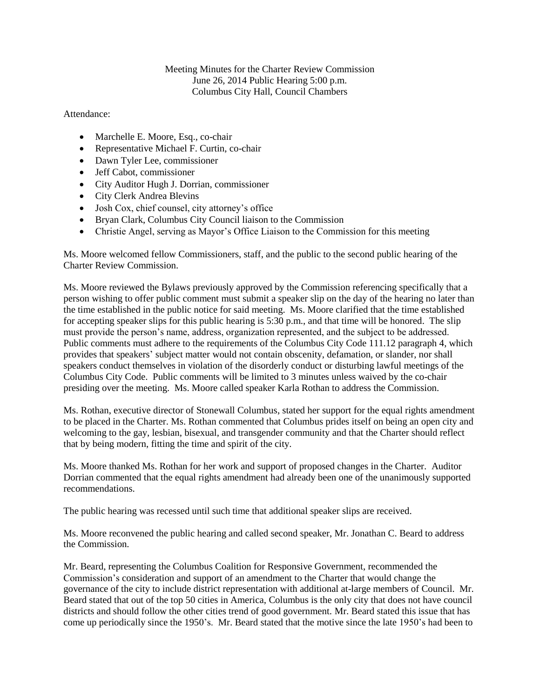Meeting Minutes for the Charter Review Commission June 26, 2014 Public Hearing 5:00 p.m. Columbus City Hall, Council Chambers

Attendance:

- Marchelle E. Moore, Esq., co-chair
- Representative Michael F. Curtin, co-chair
- Dawn Tyler Lee, commissioner
- Jeff Cabot, commissioner
- City Auditor Hugh J. Dorrian, commissioner
- City Clerk Andrea Blevins
- Josh Cox, chief counsel, city attorney's office
- Bryan Clark, Columbus City Council liaison to the Commission
- Christie Angel, serving as Mayor's Office Liaison to the Commission for this meeting

Ms. Moore welcomed fellow Commissioners, staff, and the public to the second public hearing of the Charter Review Commission.

Ms. Moore reviewed the Bylaws previously approved by the Commission referencing specifically that a person wishing to offer public comment must submit a speaker slip on the day of the hearing no later than the time established in the public notice for said meeting. Ms. Moore clarified that the time established for accepting speaker slips for this public hearing is 5:30 p.m., and that time will be honored. The slip must provide the person's name, address, organization represented, and the subject to be addressed. Public comments must adhere to the requirements of the Columbus City Code 111.12 paragraph 4, which provides that speakers' subject matter would not contain obscenity, defamation, or slander, nor shall speakers conduct themselves in violation of the disorderly conduct or disturbing lawful meetings of the Columbus City Code. Public comments will be limited to 3 minutes unless waived by the co-chair presiding over the meeting. Ms. Moore called speaker Karla Rothan to address the Commission.

Ms. Rothan, executive director of Stonewall Columbus, stated her support for the equal rights amendment to be placed in the Charter. Ms. Rothan commented that Columbus prides itself on being an open city and welcoming to the gay, lesbian, bisexual, and transgender community and that the Charter should reflect that by being modern, fitting the time and spirit of the city.

Ms. Moore thanked Ms. Rothan for her work and support of proposed changes in the Charter. Auditor Dorrian commented that the equal rights amendment had already been one of the unanimously supported recommendations.

The public hearing was recessed until such time that additional speaker slips are received.

Ms. Moore reconvened the public hearing and called second speaker, Mr. Jonathan C. Beard to address the Commission.

Mr. Beard, representing the Columbus Coalition for Responsive Government, recommended the Commission's consideration and support of an amendment to the Charter that would change the governance of the city to include district representation with additional at-large members of Council. Mr. Beard stated that out of the top 50 cities in America, Columbus is the only city that does not have council districts and should follow the other cities trend of good government. Mr. Beard stated this issue that has come up periodically since the 1950's. Mr. Beard stated that the motive since the late 1950's had been to